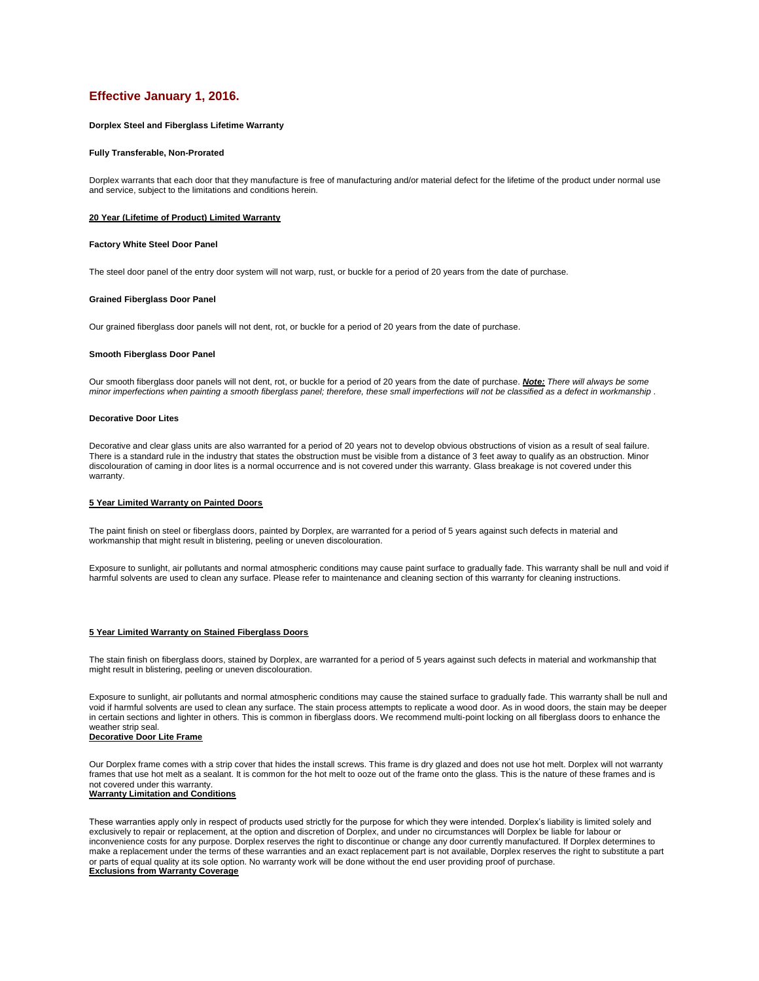# **Effective January 1, 2016.**

## **Dorplex Steel and Fiberglass Lifetime Warranty**

#### **Fully Transferable, Non-Prorated**

Dorplex warrants that each door that they manufacture is free of manufacturing and/or material defect for the lifetime of the product under normal use and service, subject to the limitations and conditions herein.

## **20 Year (Lifetime of Product) Limited Warranty**

# **Factory White Steel Door Panel**

The steel door panel of the entry door system will not warp, rust, or buckle for a period of 20 years from the date of purchase.

#### **Grained Fiberglass Door Panel**

Our grained fiberglass door panels will not dent, rot, or buckle for a period of 20 years from the date of purchase.

#### **Smooth Fiberglass Door Panel**

Our smooth fiberglass door panels will not dent, rot, or buckle for a period of 20 years from the date of purchase. *Note: There will always be some minor imperfections when painting a smooth fiberglass panel; therefore, these small imperfections will not be classified as a defect in workmanship* .

## **Decorative Door Lites**

Decorative and clear glass units are also warranted for a period of 20 years not to develop obvious obstructions of vision as a result of seal failure. There is a standard rule in the industry that states the obstruction must be visible from a distance of 3 feet away to qualify as an obstruction. Minor discolouration of caming in door lites is a normal occurrence and is not covered under this warranty. Glass breakage is not covered under this warranty.

# **5 Year Limited Warranty on Painted Doors**

The paint finish on steel or fiberglass doors, painted by Dorplex, are warranted for a period of 5 years against such defects in material and workmanship that might result in blistering, peeling or uneven discolouration.

Exposure to sunlight, air pollutants and normal atmospheric conditions may cause paint surface to gradually fade. This warranty shall be null and void if harmful solvents are used to clean any surface. Please refer to maintenance and cleaning section of this warranty for cleaning instructions.

## **5 Year Limited Warranty on Stained Fiberglass Doors**

The stain finish on fiberglass doors, stained by Dorplex, are warranted for a period of 5 years against such defects in material and workmanship that might result in blistering, peeling or uneven discolouration.

Exposure to sunlight, air pollutants and normal atmospheric conditions may cause the stained surface to gradually fade. This warranty shall be null and void if harmful solvents are used to clean any surface. The stain process attempts to replicate a wood door. As in wood doors, the stain may be deeper in certain sections and lighter in others. This is common in fiberglass doors. We recommend multi-point locking on all fiberglass doors to enhance the weather strip seal.

# **Decorative Door Lite Frame**

Our Dorplex frame comes with a strip cover that hides the install screws. This frame is dry glazed and does not use hot melt. Dorplex will not warranty frames that use hot melt as a sealant. It is common for the hot melt to ooze out of the frame onto the glass. This is the nature of these frames and is not covered under this warranty. **Warranty Limitation and Conditions**

These warranties apply only in respect of products used strictly for the purpose for which they were intended. Dorplex's liability is limited solely and exclusively to repair or replacement, at the option and discretion of Dorplex, and under no circumstances will Dorplex be liable for labour or inconvenience costs for any purpose. Dorplex reserves the right to discontinue or change any door currently manufactured. If Dorplex determines to make a replacement under the terms of these warranties and an exact replacement part is not available, Dorplex reserves the right to substitute a part or parts of equal quality at its sole option. No warranty work will be done without the end user providing proof of purchase. **Exclusions from Warranty Coverage**